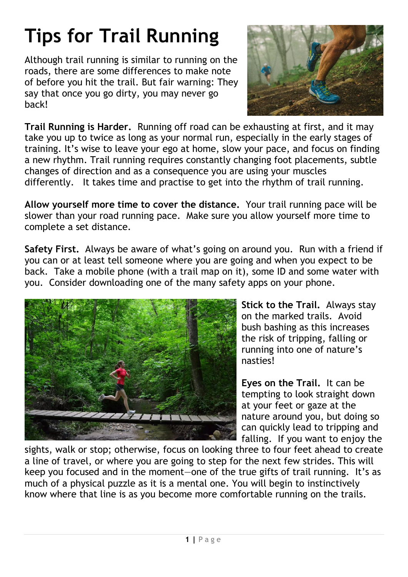## **Tips for Trail Running**

Although trail running is similar to running on the roads, there are some differences to make note of before you hit the trail. But fair warning: They say that once you go dirty, you may never go back!



**Trail Running is Harder.** Running off road can be exhausting at first, and it may take you up to twice as long as your normal run, especially in the early stages of training. It's wise to leave your ego at home, slow your pace, and focus on finding a new rhythm. Trail running requires constantly changing foot placements, subtle changes of direction and as a consequence you are using your muscles differently. It takes time and practise to get into the rhythm of trail running.

**Allow yourself more time to cover the distance.** Your trail running pace will be slower than your road running pace. Make sure you allow yourself more time to complete a set distance.

**Safety First.** Always be aware of what's going on around you. Run with a friend if you can or at least tell someone where you are going and when you expect to be back. Take a mobile phone (with a trail map on it), some ID and some water with you. Consider downloading one of the many safety apps on your phone.



**Stick to the Trail.** Always stay on the marked trails. Avoid bush bashing as this increases the risk of tripping, falling or running into one of nature's nasties!

**Eyes on the Trail.** It can be tempting to look straight down at your feet or gaze at the nature around you, but doing so can quickly lead to tripping and falling. If you want to enjoy the

sights, walk or stop; otherwise, focus on looking three to four feet ahead to create a line of travel, or where you are going to step for the next few strides. This will keep you focused and in the moment—one of the true gifts of trail running. It's as much of a physical puzzle as it is a mental one. You will begin to instinctively know where that line is as you become more comfortable running on the trails.